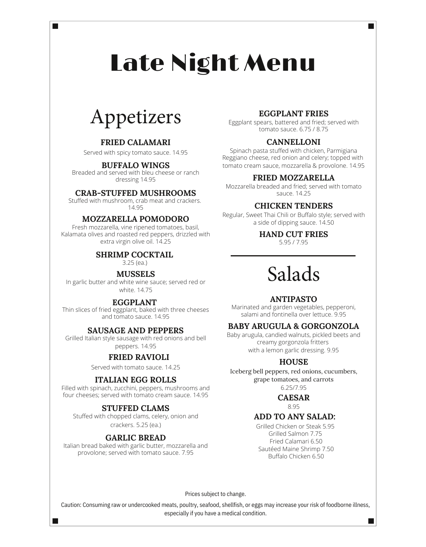# Late Night Menu

## Appetizers

 $\blacksquare$ 

#### **FRIED CALAMARI**

Served with spicy tomato sauce. 14.95

#### **BUFFALO WINGS**

Breaded and served with bleu cheese or ranch dressing 14.95

#### **CRAB-STUFFED MUSHROOMS**

Stuffed with mushroom, crab meat and crackers. 14.95

#### **MOZZARELLA POMODORO**

Fresh mozzarella, vine ripened tomatoes, basil, Kalamata olives and roasted red peppers, drizzled with extra virgin olive oil. 14.25 5.95 / 7.95

#### **SHRIMP COCKTAIL**

3.25 (ea.)

#### **MUSSELS**

In garlic butter and white wine sauce; served red or white. 14.75

#### **EGGPLANT**

Thin slices of fried eggplant, baked with three cheeses and tomato sauce. 14.95

#### **SAUSAGE AND PEPPERS**

Grilled Italian style sausage with red onions and bell peppers. 14.95

#### **FRIED RAVIOLI**

Served with tomato sauce. 14.25

#### **ITALIAN EGG ROLLS**

Filled with spinach, zucchini, peppers, mushrooms and four cheeses; served with tomato cream sauce. 14.95

#### **STUFFED CLAMS**

Stuffed with chopped clams, celery, onion and crackers. 5.25 (ea.)

#### **GARLIC BREAD**

Italian bread baked with garlic butter, mozzarella and provolone; served with tomato sauce. 7.95

#### **EGGPLANT FRIES**

Eggplant spears, battered and fried; served with tomato sauce. 6.75 / 8.75

**The State** 

#### **CANNELLONI**

Spinach pasta stuffed with chicken, Parmigiana Reggiano cheese, red onion and celery; topped with tomato cream sauce, mozzarella & provolone. 14.95

#### **FRIED MOZZARELLA**

Mozzarella breaded and fried; served with tomato sauce. 14.25

#### **CHICKEN TENDERS**

Regular, Sweet Thai Chili or Buffalo style; served with a side of dipping sauce. 14.50

**HAND CUT FRIES**

## Salads

#### **ANTIPASTO**

Marinated and garden vegetables, pepperoni, salami and fontinella over lettuce. 9.95

#### **BABY ARUGULA & GORGONZOLA**

Baby arugula, candied walnuts, pickled beets and creamy gorgonzola fritters with a lemon garlic dressing. 9.95

#### **HOUSE**

Iceberg bell peppers, red onions, cucumbers, grape tomatoes, and carrots

6.25/7.95

**CAESAR** 8.95

#### **ADD TO ANY SALAD:**

Grilled Chicken or Steak 5.95 Grilled Salmon 7.75 Fried Calamari 6.50 Sautéed Maine Shrimp 7.50 Buffalo Chicken 6.50

Prices subject to change.

Caution: Consuming raw or undercooked meats, poultry, seafood, shellfish, or eggs may increase your risk of foodborne illness, especially if you have a medical condition.